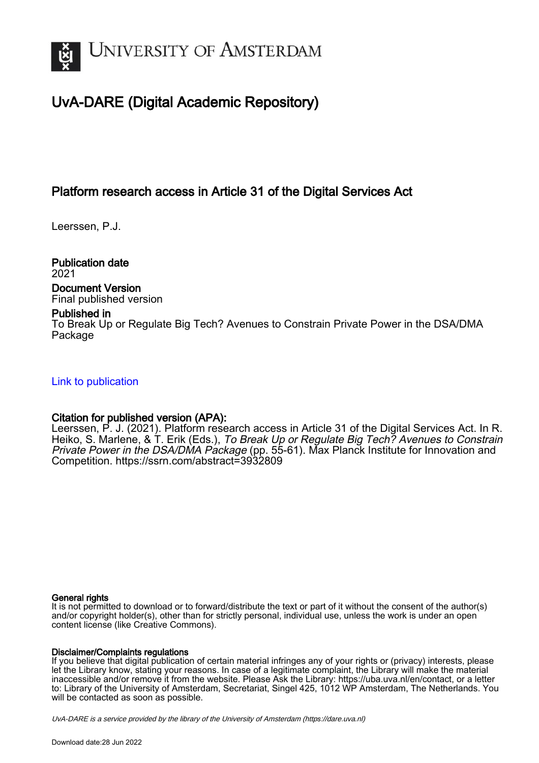

## UvA-DARE (Digital Academic Repository)

## Platform research access in Article 31 of the Digital Services Act

Leerssen, P.J.

Publication date 2021

Document Version Final published version

#### Published in

To Break Up or Regulate Big Tech? Avenues to Constrain Private Power in the DSA/DMA Package

#### [Link to publication](https://dare.uva.nl/personal/pure/en/publications/platform-research-access-in-article-31-of-the-digital-services-act(bf3d85b1-ae16-4531-885a-98dc9b0c010f).html)

#### Citation for published version (APA):

Leerssen, P. J. (2021). Platform research access in Article 31 of the Digital Services Act. In R. Heiko, S. Marlene, & T. Erik (Eds.), To Break Up or Regulate Big Tech? Avenues to Constrain Private Power in the DSA/DMA Package (pp. 55-61). Max Planck Institute for Innovation and Competition. <https://ssrn.com/abstract=3932809>

#### General rights

It is not permitted to download or to forward/distribute the text or part of it without the consent of the author(s) and/or copyright holder(s), other than for strictly personal, individual use, unless the work is under an open content license (like Creative Commons).

#### Disclaimer/Complaints regulations

If you believe that digital publication of certain material infringes any of your rights or (privacy) interests, please let the Library know, stating your reasons. In case of a legitimate complaint, the Library will make the material inaccessible and/or remove it from the website. Please Ask the Library: https://uba.uva.nl/en/contact, or a letter to: Library of the University of Amsterdam, Secretariat, Singel 425, 1012 WP Amsterdam, The Netherlands. You will be contacted as soon as possible.

UvA-DARE is a service provided by the library of the University of Amsterdam (http*s*://dare.uva.nl)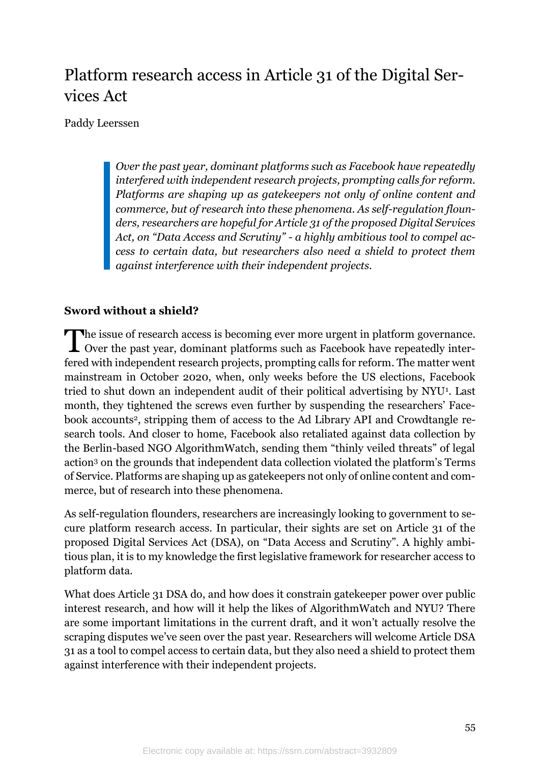# Platform research access in Article 31 of the Digital Services Act

Paddy Leerssen

*Over the past year, dominant platforms such as Facebook have repeatedly interfered with independent research projects, prompting calls for reform. Platforms are shaping up as gatekeepers not only of online content and commerce, but of research into these phenomena. As self-regulation flounders, researchers are hopeful for Article 31 of the proposed Digital Services Act, on "Data Access and Scrutiny" - a highly ambitious tool to compel access to certain data, but researchers also need a shield to protect them against interference with their independent projects.*

### **Sword without a shield?**

**The issue of research access is becoming ever more urgent in platform governance.** The issue of research access is becoming ever more urgent in platform governance.<br>Over the past year, dominant platforms such as Facebook have repeatedly interfered with independent research projects, prompting calls for reform. The matter went mainstream in October 2020, when, only weeks before the US elections, Facebook tried to shut down an independent audit of their political advertising by NYU<sup>1</sup>. Last month, they tightened the screws even further by suspending the researchers' Facebook accounts2, stripping them of access to the Ad Library API and Crowdtangle research tools. And closer to home, Facebook also retaliated against data collection by the Berlin-based NGO AlgorithmWatch, sending them "thinly veiled threats" of legal action<sup>3</sup> on the grounds that independent data collection violated the platform's Terms of Service. Platforms are shaping up as gatekeepers not only of online content and commerce, but of research into these phenomena.

As self-regulation flounders, researchers are increasingly looking to government to secure platform research access. In particular, their sights are set on Article 31 of the proposed Digital Services Act (DSA), on "Data Access and Scrutiny". A highly ambitious plan, it is to my knowledge the first legislative framework for researcher access to platform data.

What does Article 31 DSA do, and how does it constrain gatekeeper power over public interest research, and how will it help the likes of AlgorithmWatch and NYU? There are some important limitations in the current draft, and it won't actually resolve the scraping disputes we've seen over the past year. Researchers will welcome Article DSA 31 as a tool to compel access to certain data, but they also need a shield to protect them against interference with their independent projects.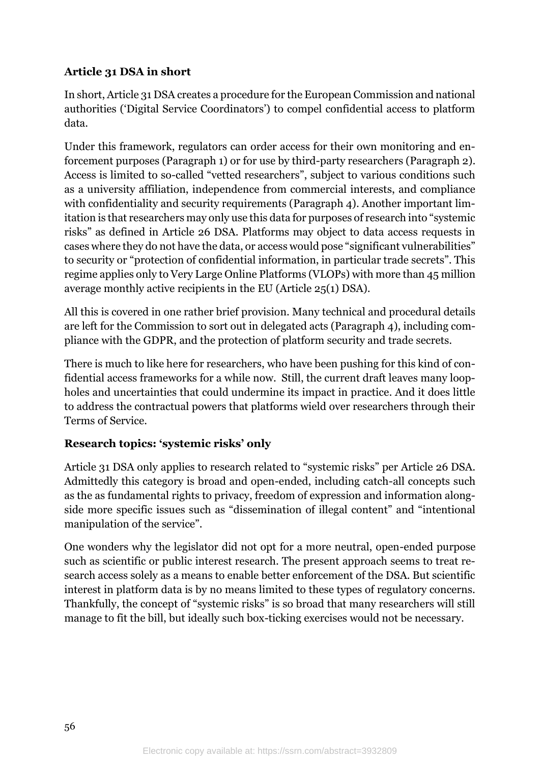## **Article 31 DSA in short**

In short, Article 31 DSA creates a procedure for the European Commission and national authorities ('Digital Service Coordinators') to compel confidential access to platform data.

Under this framework, regulators can order access for their own monitoring and enforcement purposes (Paragraph 1) or for use by third-party researchers (Paragraph 2). Access is limited to so-called "vetted researchers", subject to various conditions such as a university affiliation, independence from commercial interests, and compliance with confidentiality and security requirements (Paragraph 4). Another important limitation is that researchers may only use this data for purposes of research into "systemic risks" as defined in Article 26 DSA. Platforms may object to data access requests in cases where they do not have the data, or access would pose "significant vulnerabilities" to security or "protection of confidential information, in particular trade secrets". This regime applies only to Very Large Online Platforms (VLOPs) with more than 45 million average monthly active recipients in the EU (Article 25(1) DSA).

All this is covered in one rather brief provision. Many technical and procedural details are left for the Commission to sort out in delegated acts (Paragraph 4), including compliance with the GDPR, and the protection of platform security and trade secrets.

There is much to like here for researchers, who have been pushing for this kind of confidential access frameworks for a while now. Still, the current draft leaves many loopholes and uncertainties that could undermine its impact in practice. And it does little to address the contractual powers that platforms wield over researchers through their Terms of Service.

## **Research topics: 'systemic risks' only**

Article 31 DSA only applies to research related to "systemic risks" per Article 26 DSA. Admittedly this category is broad and open-ended, including catch-all concepts such as the as fundamental rights to privacy, freedom of expression and information alongside more specific issues such as "dissemination of illegal content" and "intentional manipulation of the service".

One wonders why the legislator did not opt for a more neutral, open-ended purpose such as scientific or public interest research. The present approach seems to treat research access solely as a means to enable better enforcement of the DSA. But scientific interest in platform data is by no means limited to these types of regulatory concerns. Thankfully, the concept of "systemic risks" is so broad that many researchers will still manage to fit the bill, but ideally such box-ticking exercises would not be necessary.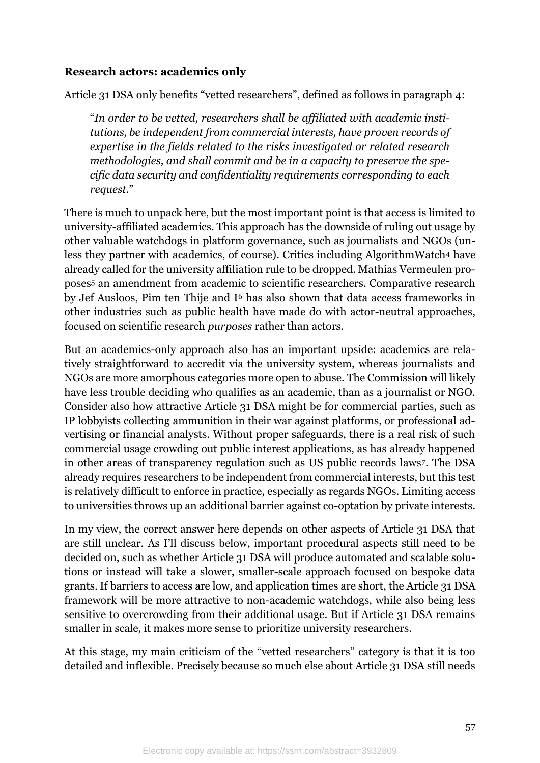#### **Research actors: academics only**

Article 31 DSA only benefits "vetted researchers", defined as follows in paragraph 4:

"*In order to be vetted, researchers shall be affiliated with academic institutions, be independent from commercial interests, have proven records of expertise in the fields related to the risks investigated or related research methodologies, and shall commit and be in a capacity to preserve the specific data security and confidentiality requirements corresponding to each request*."

There is much to unpack here, but the most important point is that access is limited to university-affiliated academics. This approach has the downside of ruling out usage by other valuable watchdogs in platform governance, such as journalists and NGOs (unless they partner with academics, of course). Critics including AlgorithmWatch<sup>4</sup> have already called for the university affiliation rule to be dropped. Mathias Vermeulen proposes<sup>5</sup> an amendment from academic to scientific researchers. Comparative research by Jef Ausloos, Pim ten Thije and I<sup>6</sup> has also shown that data access frameworks in other industries such as public health have made do with actor-neutral approaches, focused on scientific research *purposes* rather than actors.

But an academics-only approach also has an important upside: academics are relatively straightforward to accredit via the university system, whereas journalists and NGOs are more amorphous categories more open to abuse. The Commission will likely have less trouble deciding who qualifies as an academic, than as a journalist or NGO. Consider also how attractive Article 31 DSA might be for commercial parties, such as IP lobbyists collecting ammunition in their war against platforms, or professional advertising or financial analysts. Without proper safeguards, there is a real risk of such commercial usage crowding out public interest applications, as has already happened in other areas of transparency regulation such as US public records laws<sup>7</sup>. The DSA already requires researchers to be independent from commercial interests, but this test is relatively difficult to enforce in practice, especially as regards NGOs. Limiting access to universities throws up an additional barrier against co-optation by private interests.

In my view, the correct answer here depends on other aspects of Article 31 DSA that are still unclear. As I'll discuss below, important procedural aspects still need to be decided on, such as whether Article 31 DSA will produce automated and scalable solutions or instead will take a slower, smaller-scale approach focused on bespoke data grants. If barriers to access are low, and application times are short, the Article 31 DSA framework will be more attractive to non-academic watchdogs, while also being less sensitive to overcrowding from their additional usage. But if Article 31 DSA remains smaller in scale, it makes more sense to prioritize university researchers.

At this stage, my main criticism of the "vetted researchers" category is that it is too detailed and inflexible. Precisely because so much else about Article 31 DSA still needs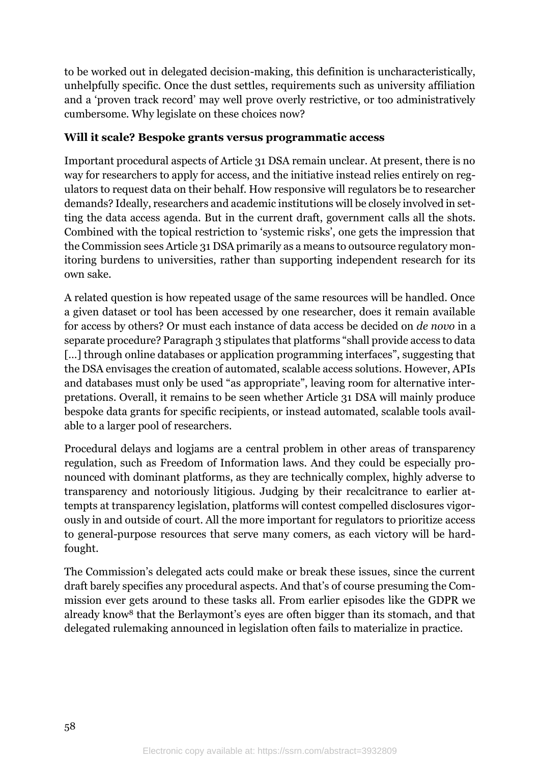to be worked out in delegated decision-making, this definition is uncharacteristically, unhelpfully specific. Once the dust settles, requirements such as university affiliation and a 'proven track record' may well prove overly restrictive, or too administratively cumbersome. Why legislate on these choices now?

### **Will it scale? Bespoke grants versus programmatic access**

Important procedural aspects of Article 31 DSA remain unclear. At present, there is no way for researchers to apply for access, and the initiative instead relies entirely on regulators to request data on their behalf. How responsive will regulators be to researcher demands? Ideally, researchers and academic institutions will be closely involved in setting the data access agenda. But in the current draft, government calls all the shots. Combined with the topical restriction to 'systemic risks', one gets the impression that the Commission sees Article 31 DSA primarily as a means to outsource regulatory monitoring burdens to universities, rather than supporting independent research for its own sake.

A related question is how repeated usage of the same resources will be handled. Once a given dataset or tool has been accessed by one researcher, does it remain available for access by others? Or must each instance of data access be decided on *de novo* in a separate procedure? Paragraph 3 stipulates that platforms "shall provide access to data [...] through online databases or application programming interfaces", suggesting that the DSA envisages the creation of automated, scalable access solutions. However, APIs and databases must only be used "as appropriate", leaving room for alternative interpretations. Overall, it remains to be seen whether Article 31 DSA will mainly produce bespoke data grants for specific recipients, or instead automated, scalable tools available to a larger pool of researchers.

Procedural delays and logjams are a central problem in other areas of transparency regulation, such as Freedom of Information laws. And they could be especially pronounced with dominant platforms, as they are technically complex, highly adverse to transparency and notoriously litigious. Judging by their recalcitrance to earlier attempts at transparency legislation, platforms will contest compelled disclosures vigorously in and outside of court. All the more important for regulators to prioritize access to general-purpose resources that serve many comers, as each victory will be hardfought.

The Commission's delegated acts could make or break these issues, since the current draft barely specifies any procedural aspects. And that's of course presuming the Commission ever gets around to these tasks all. From earlier episodes like the GDPR we already know<sup>8</sup> that the Berlaymont's eyes are often bigger than its stomach, and that delegated rulemaking announced in legislation often fails to materialize in practice.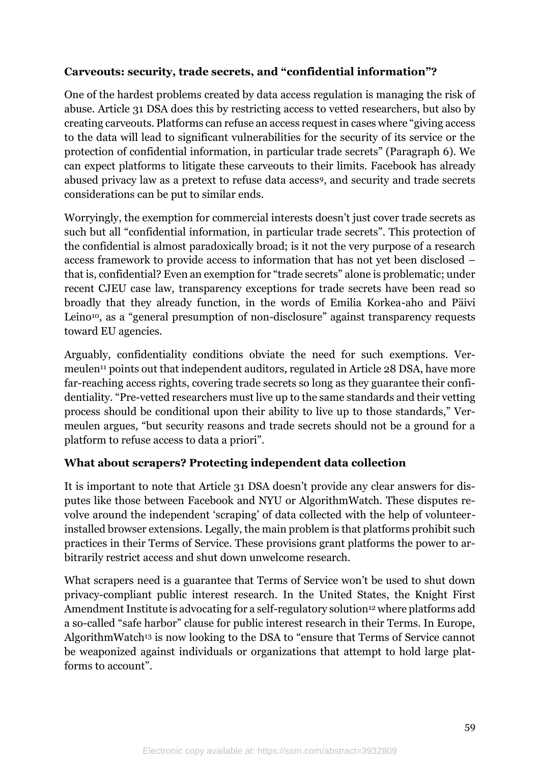## **Carveouts: security, trade secrets, and "confidential information"?**

One of the hardest problems created by data access regulation is managing the risk of abuse. Article 31 DSA does this by restricting access to vetted researchers, but also by creating carveouts. Platforms can refuse an access request in cases where "giving access to the data will lead to significant vulnerabilities for the security of its service or the protection of confidential information, in particular trade secrets" (Paragraph 6). We can expect platforms to litigate these carveouts to their limits. Facebook has already abused privacy law as a pretext to refuse data access9, and security and trade secrets considerations can be put to similar ends.

Worryingly, the exemption for commercial interests doesn't just cover trade secrets as such but all "confidential information, in particular trade secrets". This protection of the confidential is almost paradoxically broad; is it not the very purpose of a research access framework to provide access to information that has not yet been disclosed – that is, confidential? Even an exemption for "trade secrets" alone is problematic; under recent CJEU case law, transparency exceptions for trade secrets have been read so broadly that they already function, in the words of Emilia Korkea-aho and Päivi Leino<sup>10</sup>, as a "general presumption of non-disclosure" against transparency requests toward EU agencies.

Arguably, confidentiality conditions obviate the need for such exemptions. Vermeulen<sup>11</sup> points out that independent auditors, regulated in Article 28 DSA, have more far-reaching access rights, covering trade secrets so long as they guarantee their confidentiality. "Pre-vetted researchers must live up to the same standards and their vetting process should be conditional upon their ability to live up to those standards," Vermeulen argues, "but security reasons and trade secrets should not be a ground for a platform to refuse access to data a priori".

### **What about scrapers? Protecting independent data collection**

It is important to note that Article 31 DSA doesn't provide any clear answers for disputes like those between Facebook and NYU or AlgorithmWatch. These disputes revolve around the independent 'scraping' of data collected with the help of volunteerinstalled browser extensions. Legally, the main problem is that platforms prohibit such practices in their Terms of Service. These provisions grant platforms the power to arbitrarily restrict access and shut down unwelcome research.

What scrapers need is a guarantee that Terms of Service won't be used to shut down privacy-compliant public interest research. In the United States, the Knight First Amendment Institute is advocating for a self-regulatory solution<sup>12</sup> where platforms add a so-called "safe harbor" clause for public interest research in their Terms. In Europe, AlgorithmWatch<sup>13</sup> is now looking to the DSA to "ensure that Terms of Service cannot be weaponized against individuals or organizations that attempt to hold large platforms to account".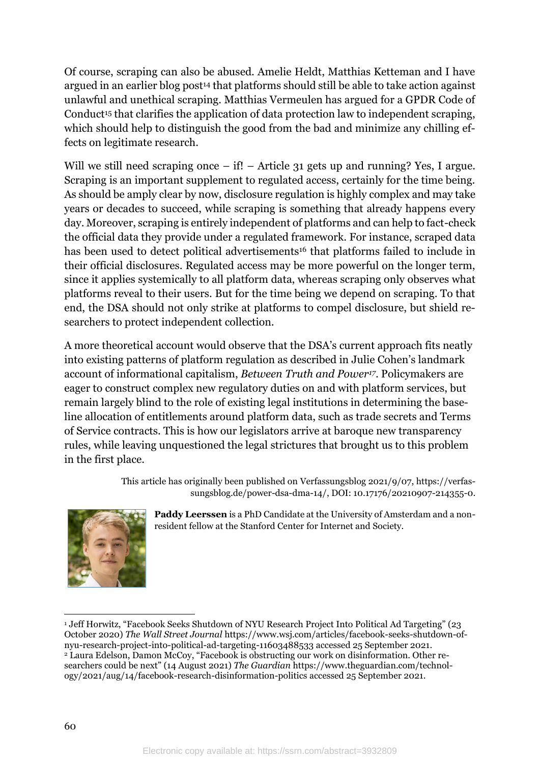Of course, scraping can also be abused. Amelie Heldt, Matthias Ketteman and I have argued in an earlier blog post<sup>14</sup> that platforms should still be able to take action against unlawful and unethical scraping. Matthias Vermeulen has argued for a GPDR Code of Conduct<sup>15</sup> that clarifies the application of data protection law to independent scraping, which should help to distinguish the good from the bad and minimize any chilling effects on legitimate research.

Will we still need scraping once – if! – Article 31 gets up and running? Yes, I argue. Scraping is an important supplement to regulated access, certainly for the time being. As should be amply clear by now, disclosure regulation is highly complex and may take years or decades to succeed, while scraping is something that already happens every day. Moreover, scraping is entirely independent of platforms and can help to fact-check the official data they provide under a regulated framework. For instance, scraped data has been used to detect political advertisements<sup>16</sup> that platforms failed to include in their official disclosures. Regulated access may be more powerful on the longer term, since it applies systemically to all platform data, whereas scraping only observes what platforms reveal to their users. But for the time being we depend on scraping. To that end, the DSA should not only strike at platforms to compel disclosure, but shield researchers to protect independent collection.

A more theoretical account would observe that the DSA's current approach fits neatly into existing patterns of platform regulation as described in Julie Cohen's landmark account of informational capitalism, *Between Truth and Power17*. Policymakers are eager to construct complex new regulatory duties on and with platform services, but remain largely blind to the role of existing legal institutions in determining the baseline allocation of entitlements around platform data, such as trade secrets and Terms of Service contracts. This is how our legislators arrive at baroque new transparency rules, while leaving unquestioned the legal strictures that brought us to this problem in the first place.

> This article has originally been published on Verfassungsblog 2021/9/07, [https://verfas](https://verfassungsblog.de/power-dsa-dma-14/)[sungsblog.de/power-dsa-dma-14/,](https://verfassungsblog.de/power-dsa-dma-14/) DOI: 10.17176/20210907-214355-0.



**Paddy Leerssen** is a PhD Candidate at the University of Amsterdam and a nonresident fellow at the Stanford Center for Internet and Society.

<sup>&</sup>lt;sup>1</sup> Jeff Horwitz, "Facebook Seeks Shutdown of NYU Research Project Into Political Ad Targeting" (23 October 2020) *The Wall Street Journal* [https://www.wsj.com/articles/facebook-seeks-shutdown-of](https://www.wsj.com/articles/facebook-seeks-shutdown-of-nyu-research-project-into-political-ad-targeting-11603488533)[nyu-research-project-into-political-ad-targeting-11603488533](https://www.wsj.com/articles/facebook-seeks-shutdown-of-nyu-research-project-into-political-ad-targeting-11603488533) accessed 25 September 2021. <sup>2</sup> Laura Edelson, Damon McCoy, "Facebook is obstructing our work on disinformation. Other researchers could be next" (14 August 2021) *The Guardian* [https://www.theguardian.com/technol](https://www.theguardian.com/technology/2021/aug/14/facebook-research-disinformation-politics)[ogy/2021/aug/14/facebook-research-disinformation-politics](https://www.theguardian.com/technology/2021/aug/14/facebook-research-disinformation-politics) accessed 25 September 2021.